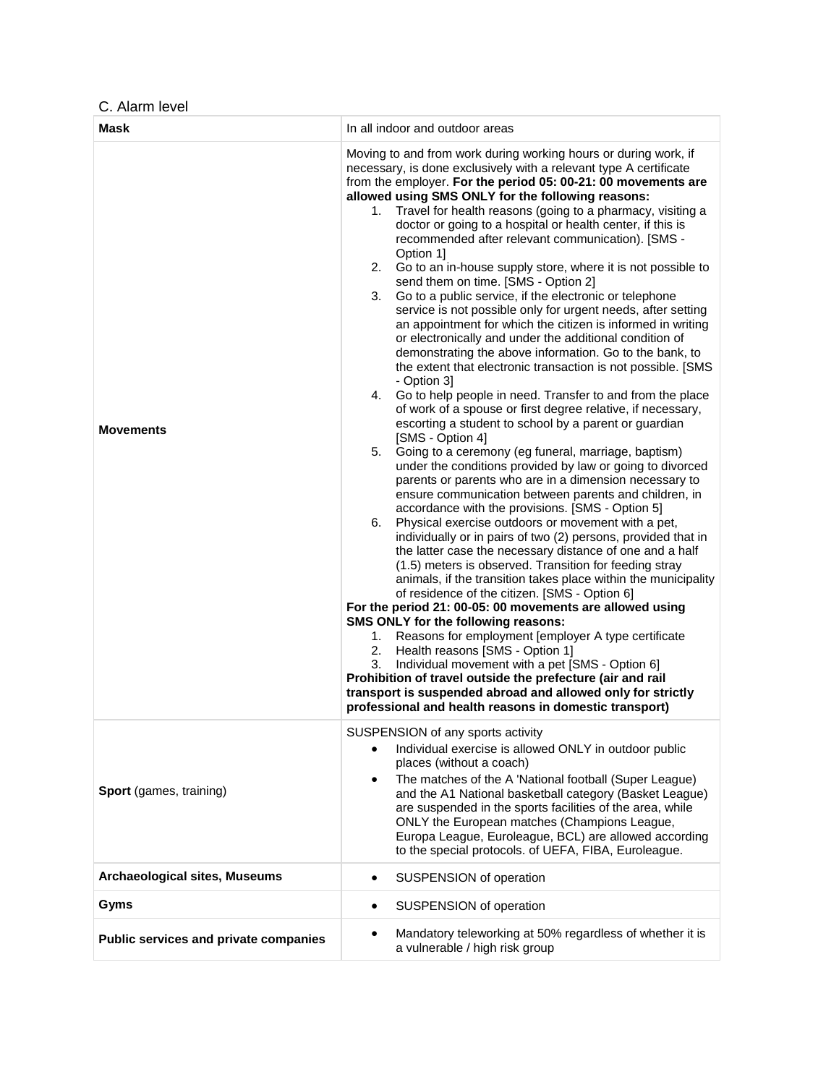C. Alarm level

| Mask                                  | In all indoor and outdoor areas                                                                                                                                                                                                                                                                                                                                                                                                                                                                                                                                                                                                                                                                                                                                                                                                                                                                                                                                                                                                                                                                                                                                                                                                                                                                                                                                                                                                                                                                                                                                                                                                                                                                                                                                                                                                                                                                                                                                                                                                                                                                                                                                                                                                                                                                                            |
|---------------------------------------|----------------------------------------------------------------------------------------------------------------------------------------------------------------------------------------------------------------------------------------------------------------------------------------------------------------------------------------------------------------------------------------------------------------------------------------------------------------------------------------------------------------------------------------------------------------------------------------------------------------------------------------------------------------------------------------------------------------------------------------------------------------------------------------------------------------------------------------------------------------------------------------------------------------------------------------------------------------------------------------------------------------------------------------------------------------------------------------------------------------------------------------------------------------------------------------------------------------------------------------------------------------------------------------------------------------------------------------------------------------------------------------------------------------------------------------------------------------------------------------------------------------------------------------------------------------------------------------------------------------------------------------------------------------------------------------------------------------------------------------------------------------------------------------------------------------------------------------------------------------------------------------------------------------------------------------------------------------------------------------------------------------------------------------------------------------------------------------------------------------------------------------------------------------------------------------------------------------------------------------------------------------------------------------------------------------------------|
| <b>Movements</b>                      | Moving to and from work during working hours or during work, if<br>necessary, is done exclusively with a relevant type A certificate<br>from the employer. For the period 05: 00-21: 00 movements are<br>allowed using SMS ONLY for the following reasons:<br>Travel for health reasons (going to a pharmacy, visiting a<br>1.<br>doctor or going to a hospital or health center, if this is<br>recommended after relevant communication). [SMS -<br>Option 1]<br>2.<br>Go to an in-house supply store, where it is not possible to<br>send them on time. [SMS - Option 2]<br>Go to a public service, if the electronic or telephone<br>3.<br>service is not possible only for urgent needs, after setting<br>an appointment for which the citizen is informed in writing<br>or electronically and under the additional condition of<br>demonstrating the above information. Go to the bank, to<br>the extent that electronic transaction is not possible. [SMS<br>- Option 3]<br>4. Go to help people in need. Transfer to and from the place<br>of work of a spouse or first degree relative, if necessary,<br>escorting a student to school by a parent or guardian<br>[SMS - Option 4]<br>Going to a ceremony (eg funeral, marriage, baptism)<br>5.<br>under the conditions provided by law or going to divorced<br>parents or parents who are in a dimension necessary to<br>ensure communication between parents and children, in<br>accordance with the provisions. [SMS - Option 5]<br>Physical exercise outdoors or movement with a pet,<br>6.<br>individually or in pairs of two (2) persons, provided that in<br>the latter case the necessary distance of one and a half<br>(1.5) meters is observed. Transition for feeding stray<br>animals, if the transition takes place within the municipality<br>of residence of the citizen. [SMS - Option 6]<br>For the period 21: 00-05: 00 movements are allowed using<br>SMS ONLY for the following reasons:<br>Reasons for employment [employer A type certificate<br>1.<br>Health reasons [SMS - Option 1]<br>2.<br>Individual movement with a pet [SMS - Option 6]<br>3.<br>Prohibition of travel outside the prefecture (air and rail<br>transport is suspended abroad and allowed only for strictly<br>professional and health reasons in domestic transport) |
| Sport (games, training)               | SUSPENSION of any sports activity<br>Individual exercise is allowed ONLY in outdoor public<br>places (without a coach)<br>The matches of the A 'National football (Super League)<br>٠<br>and the A1 National basketball category (Basket League)<br>are suspended in the sports facilities of the area, while<br>ONLY the European matches (Champions League,<br>Europa League, Euroleague, BCL) are allowed according<br>to the special protocols. of UEFA, FIBA, Euroleague.                                                                                                                                                                                                                                                                                                                                                                                                                                                                                                                                                                                                                                                                                                                                                                                                                                                                                                                                                                                                                                                                                                                                                                                                                                                                                                                                                                                                                                                                                                                                                                                                                                                                                                                                                                                                                                             |
| Archaeological sites, Museums         | SUSPENSION of operation<br>٠                                                                                                                                                                                                                                                                                                                                                                                                                                                                                                                                                                                                                                                                                                                                                                                                                                                                                                                                                                                                                                                                                                                                                                                                                                                                                                                                                                                                                                                                                                                                                                                                                                                                                                                                                                                                                                                                                                                                                                                                                                                                                                                                                                                                                                                                                               |
| Gyms                                  | SUSPENSION of operation<br>٠                                                                                                                                                                                                                                                                                                                                                                                                                                                                                                                                                                                                                                                                                                                                                                                                                                                                                                                                                                                                                                                                                                                                                                                                                                                                                                                                                                                                                                                                                                                                                                                                                                                                                                                                                                                                                                                                                                                                                                                                                                                                                                                                                                                                                                                                                               |
| Public services and private companies | Mandatory teleworking at 50% regardless of whether it is<br>٠<br>a vulnerable / high risk group                                                                                                                                                                                                                                                                                                                                                                                                                                                                                                                                                                                                                                                                                                                                                                                                                                                                                                                                                                                                                                                                                                                                                                                                                                                                                                                                                                                                                                                                                                                                                                                                                                                                                                                                                                                                                                                                                                                                                                                                                                                                                                                                                                                                                            |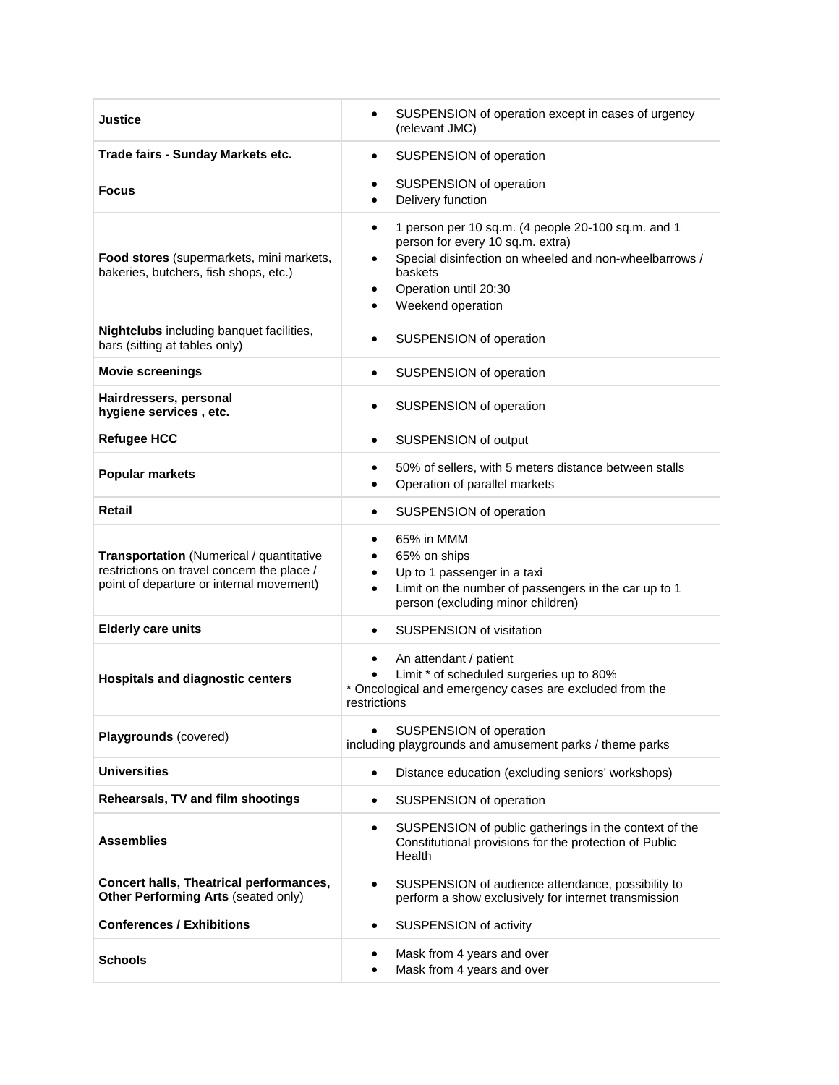| Justice                                                                                                                                   | SUSPENSION of operation except in cases of urgency<br>$\bullet$<br>(relevant JMC)                                                                                                                                                        |
|-------------------------------------------------------------------------------------------------------------------------------------------|------------------------------------------------------------------------------------------------------------------------------------------------------------------------------------------------------------------------------------------|
| Trade fairs - Sunday Markets etc.                                                                                                         | SUSPENSION of operation<br>$\bullet$                                                                                                                                                                                                     |
| <b>Focus</b>                                                                                                                              | SUSPENSION of operation<br>٠<br>Delivery function<br>$\bullet$                                                                                                                                                                           |
| Food stores (supermarkets, mini markets,<br>bakeries, butchers, fish shops, etc.)                                                         | 1 person per 10 sq.m. (4 people 20-100 sq.m. and 1<br>$\bullet$<br>person for every 10 sq.m. extra)<br>Special disinfection on wheeled and non-wheelbarrows /<br>$\bullet$<br>baskets<br>Operation until 20:30<br>٠<br>Weekend operation |
| Nightclubs including banquet facilities,<br>bars (sitting at tables only)                                                                 | SUSPENSION of operation<br>$\bullet$                                                                                                                                                                                                     |
| <b>Movie screenings</b>                                                                                                                   | SUSPENSION of operation<br>$\bullet$                                                                                                                                                                                                     |
| Hairdressers, personal<br>hygiene services, etc.                                                                                          | SUSPENSION of operation<br>$\bullet$                                                                                                                                                                                                     |
| <b>Refugee HCC</b>                                                                                                                        | SUSPENSION of output<br>$\bullet$                                                                                                                                                                                                        |
| <b>Popular markets</b>                                                                                                                    | 50% of sellers, with 5 meters distance between stalls<br>$\bullet$<br>Operation of parallel markets<br>$\bullet$                                                                                                                         |
| <b>Retail</b>                                                                                                                             | SUSPENSION of operation<br>$\bullet$                                                                                                                                                                                                     |
| <b>Transportation</b> (Numerical / quantitative<br>restrictions on travel concern the place /<br>point of departure or internal movement) | 65% in MMM<br>$\bullet$<br>65% on ships<br>$\bullet$<br>Up to 1 passenger in a taxi<br>$\bullet$<br>Limit on the number of passengers in the car up to 1<br>$\bullet$<br>person (excluding minor children)                               |
| <b>Elderly care units</b>                                                                                                                 | <b>SUSPENSION of visitation</b><br>$\bullet$                                                                                                                                                                                             |
| <b>Hospitals and diagnostic centers</b>                                                                                                   | An attendant / patient<br>$\bullet$<br>Limit * of scheduled surgeries up to 80%<br>$\bullet$<br>Oncological and emergency cases are excluded from the<br>restrictions                                                                    |
| Playgrounds (covered)                                                                                                                     | SUSPENSION of operation<br>$\bullet$<br>including playgrounds and amusement parks / theme parks                                                                                                                                          |
| <b>Universities</b>                                                                                                                       | Distance education (excluding seniors' workshops)<br>$\bullet$                                                                                                                                                                           |
| Rehearsals, TV and film shootings                                                                                                         | SUSPENSION of operation<br>$\bullet$                                                                                                                                                                                                     |
| <b>Assemblies</b>                                                                                                                         | SUSPENSION of public gatherings in the context of the<br>$\bullet$<br>Constitutional provisions for the protection of Public<br>Health                                                                                                   |
| Concert halls, Theatrical performances,<br>Other Performing Arts (seated only)                                                            | SUSPENSION of audience attendance, possibility to<br>$\bullet$<br>perform a show exclusively for internet transmission                                                                                                                   |
| <b>Conferences / Exhibitions</b>                                                                                                          | SUSPENSION of activity<br>$\bullet$                                                                                                                                                                                                      |
| Schools                                                                                                                                   | Mask from 4 years and over<br>٠<br>Mask from 4 years and over<br>$\bullet$                                                                                                                                                               |